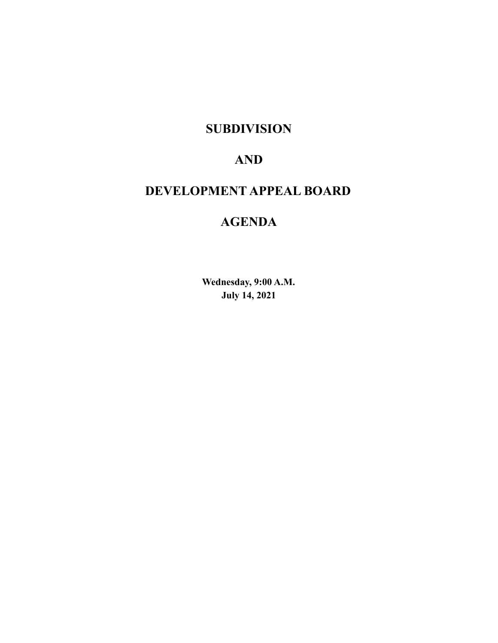#### **SUBDIVISION**

## **AND**

# **DEVELOPMENT APPEAL BOARD**

## **AGENDA**

**Wednesday, 9:00 A.M. July 14, 2021**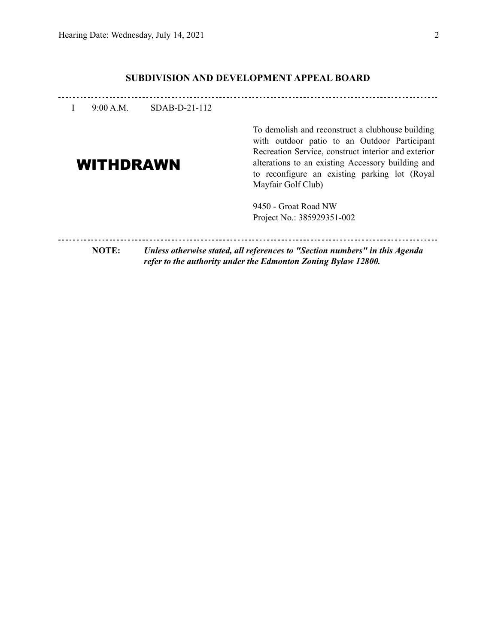#### **SUBDIVISION AND DEVELOPMENT APPEAL BOARD**

| 9:00 A.M.        | $SDAB-D-21-112$                                                                                                                              |                                                                                                                                                                                                                                                               |
|------------------|----------------------------------------------------------------------------------------------------------------------------------------------|---------------------------------------------------------------------------------------------------------------------------------------------------------------------------------------------------------------------------------------------------------------|
| <b>WITHDRAWN</b> | Mayfair Golf Club)                                                                                                                           | To demolish and reconstruct a clubhouse building<br>with outdoor patio to an Outdoor Participant<br>Recreation Service, construct interior and exterior<br>alterations to an existing Accessory building and<br>to reconfigure an existing parking lot (Royal |
|                  | 9450 - Groat Road NW<br>Project No.: 385929351-002                                                                                           |                                                                                                                                                                                                                                                               |
| <b>NOTE:</b>     | Unless otherwise stated, all references to "Section numbers" in this Agenda<br>refer to the authority under the Edmonton Zoning Bylaw 12800. |                                                                                                                                                                                                                                                               |